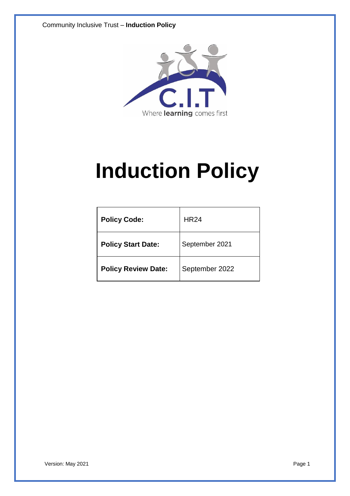Community Inclusive Trust – **Induction Policy**



# **Induction Policy**

| <b>Policy Code:</b>        | <b>HR24</b>    |
|----------------------------|----------------|
| <b>Policy Start Date:</b>  | September 2021 |
| <b>Policy Review Date:</b> | September 2022 |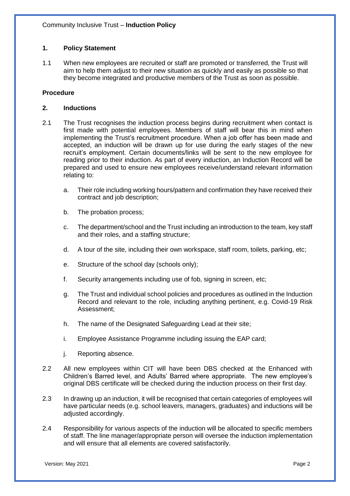# **1. Policy Statement**

1.1 When new employees are recruited or staff are promoted or transferred, the Trust will aim to help them adjust to their new situation as quickly and easily as possible so that they become integrated and productive members of the Trust as soon as possible.

### **Procedure**

#### **2. Inductions**

- 2.1 The Trust recognises the induction process begins during recruitment when contact is first made with potential employees. Members of staff will bear this in mind when implementing the Trust's recruitment procedure. When a job offer has been made and accepted, an induction will be drawn up for use during the early stages of the new recruit's employment. Certain documents/links will be sent to the new employee for reading prior to their induction. As part of every induction, an Induction Record will be prepared and used to ensure new employees receive/understand relevant information relating to:
	- a. Their role including working hours/pattern and confirmation they have received their contract and job description;
	- b. The probation process;
	- c. The department/school and the Trust including an introduction to the team, key staff and their roles, and a staffing structure;
	- d. A tour of the site, including their own workspace, staff room, toilets, parking, etc;
	- e. Structure of the school day (schools only);
	- f. Security arrangements including use of fob, signing in screen, etc;
	- g. The Trust and individual school policies and procedures as outlined in the Induction Record and relevant to the role, including anything pertinent, e.g. Covid-19 Risk Assessment;
	- h. The name of the Designated Safeguarding Lead at their site;
	- i. Employee Assistance Programme including issuing the EAP card;
	- j. Reporting absence.
- 2.2 All new employees within CIT will have been DBS checked at the Enhanced with Children's Barred level, and Adults' Barred where appropriate. The new employee's original DBS certificate will be checked during the induction process on their first day.
- 2.3 In drawing up an induction, it will be recognised that certain categories of employees will have particular needs (e.g. school leavers, managers, graduates) and inductions will be adjusted accordingly.
- 2.4 Responsibility for various aspects of the induction will be allocated to specific members of staff. The line manager/appropriate person will oversee the induction implementation and will ensure that all elements are covered satisfactorily.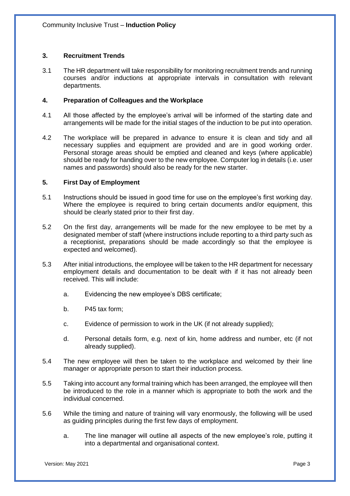## **3. Recruitment Trends**

3.1 The HR department will take responsibility for monitoring recruitment trends and running courses and/or inductions at appropriate intervals in consultation with relevant departments.

## **4. Preparation of Colleagues and the Workplace**

- 4.1 All those affected by the employee's arrival will be informed of the starting date and arrangements will be made for the initial stages of the induction to be put into operation.
- 4.2 The workplace will be prepared in advance to ensure it is clean and tidy and all necessary supplies and equipment are provided and are in good working order. Personal storage areas should be emptied and cleaned and keys (where applicable) should be ready for handing over to the new employee. Computer log in details (i.e. user names and passwords) should also be ready for the new starter.

#### **5. First Day of Employment**

- 5.1 Instructions should be issued in good time for use on the employee's first working day. Where the employee is required to bring certain documents and/or equipment, this should be clearly stated prior to their first day.
- 5.2 On the first day, arrangements will be made for the new employee to be met by a designated member of staff (where instructions include reporting to a third party such as a receptionist, preparations should be made accordingly so that the employee is expected and welcomed).
- 5.3 After initial introductions, the employee will be taken to the HR department for necessary employment details and documentation to be dealt with if it has not already been received. This will include:
	- a. Evidencing the new employee's DBS certificate;
	- b. P45 tax form;
	- c. Evidence of permission to work in the UK (if not already supplied);
	- d. Personal details form, e.g. next of kin, home address and number, etc (if not already supplied).
- 5.4 The new employee will then be taken to the workplace and welcomed by their line manager or appropriate person to start their induction process.
- 5.5 Taking into account any formal training which has been arranged, the employee will then be introduced to the role in a manner which is appropriate to both the work and the individual concerned.
- 5.6 While the timing and nature of training will vary enormously, the following will be used as guiding principles during the first few days of employment.
	- a. The line manager will outline all aspects of the new employee's role, putting it into a departmental and organisational context.